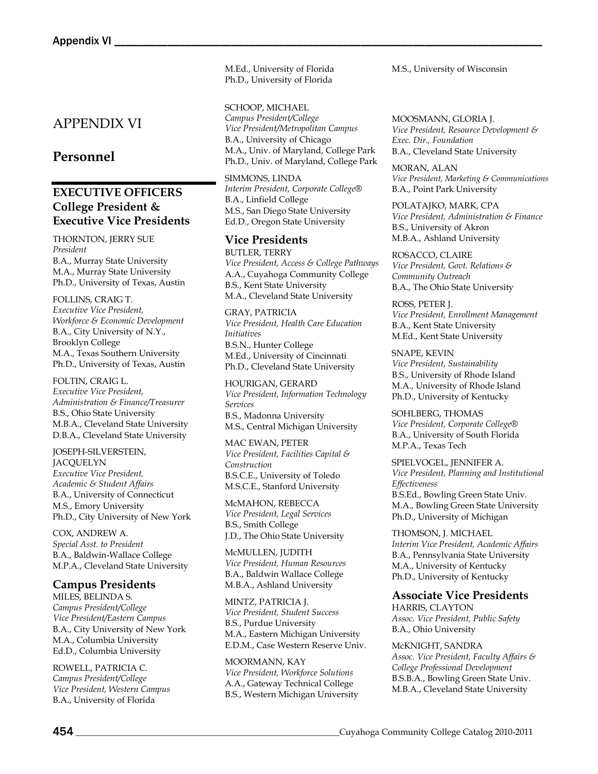# APPENDIX VI

# **Personnel**

# **EXECUTIVE OFFICERS College President & Executive Vice Presidents**

THORNTON, JERRY SUE *President* B.A., Murray State University M.A., Murray State University Ph.D., University of Texas, Austin

FOLLINS, CRAIG T. *Executive Vice President, Workforce & Economic Development* B.A., City University of N.Y., Brooklyn College M.A., Texas Southern University Ph.D., University of Texas, Austin

FOLTIN, CRAIG L. *Executive Vice President, Administration & Finance/Treasurer* B.S., Ohio State University M.B.A., Cleveland State University D.B.A., Cleveland State University

JOSEPH-SILVERSTEIN, **JACQUELYN** *Executive Vice President, Academic & Student Affairs* B.A., University of Connecticut M.S., Emory University Ph.D., City University of New York

COX, ANDREW A. *Special Asst. to President*  B.A., Baldwin-Wallace College M.P.A., Cleveland State University

## **Campus Presidents**

MILES, BELINDA S. *Campus President/College Vice President/Eastern Campus* B.A., City University of New York M.A., Columbia University Ed.D., Columbia University

ROWELL, PATRICIA C. *Campus President/College Vice President, Western Campus* B.A., University of Florida

M.Ed., University of Florida Ph.D., University of Florida

SCHOOP, MICHAEL

*Campus President/College Vice President/Metropolitan Campus* B.A., University of Chicago M.A., Univ. of Maryland, College Park Ph.D., Univ. of Maryland, College Park

SIMMONS, LINDA *Interim President, Corporate College®* B.A., Linfield College M.S., San Diego State University Ed.D., Oregon State University

# **Vice Presidents**

BUTLER, TERRY *Vice President, Access & College Pathways* A.A., Cuyahoga Community College B.S., Kent State University M.A., Cleveland State University

GRAY, PATRICIA *Vice President, Health Care Education Initiatives* B.S.N., Hunter College M.Ed., University of Cincinnati Ph.D., Cleveland State University

HOURIGAN, GERARD *Vice President, Information Technology Services* B.S., Madonna University M.S., Central Michigan University

MAC EWAN, PETER *Vice President, Facilities Capital & Construction* B.S.C.E., University of Toledo M.S.C.E., Stanford University

McMAHON, REBECCA *Vice President, Legal Services* B.S., Smith College J.D., The Ohio State University

McMULLEN, JUDITH *Vice President, Human Resources* B.A., Baldwin Wallace College M.B.A., Ashland University

MINTZ, PATRICIA J. *Vice President, Student Success* B.S., Purdue University M.A., Eastern Michigan University E.D.M., Case Western Reserve Univ.

MOORMANN, KAY *Vice President, Workforce Solutions* A.A., Gateway Technical College B.S., Western Michigan University M.S., University of Wisconsin

MOOSMANN, GLORIA J. *Vice President, Resource Development & Exec. Dir., Foundation* B.A., Cleveland State University

MORAN, ALAN *Vice President, Marketing & Communications* B.A., Point Park University

POLATAJKO, MARK, CPA *Vice President, Administration & Finance* B.S., University of Akron M.B.A., Ashland University

ROSACCO, CLAIRE *Vice President, Govt. Relations & Community Outreach* B.A., The Ohio State University

ROSS, PETER J. *Vice President, Enrollment Management* B.A., Kent State University M.Ed., Kent State University

SNAPE, KEVIN *Vice President, Sustainability* B.S., University of Rhode Island M.A., University of Rhode Island Ph.D., University of Kentucky

SOHLBERG, THOMAS *Vice President, Corporate College®* B.A., University of South Florida M.P.A., Texas Tech

SPIELVOGEL, JENNIFER A. *Vice President, Planning and Institutional Effectiveness* B.S.Ed., Bowling Green State Univ. M.A., Bowling Green State University Ph.D., University of Michigan

THOMSON, J. MICHAEL *Interim Vice President, Academic Affairs* B.A., Pennsylvania State University M.A., University of Kentucky Ph.D., University of Kentucky

**Associate Vice Presidents** HARRIS, CLAYTON *Assoc. Vice President, Public Safety* B.A., Ohio University

McKNIGHT, SANDRA *Assoc. Vice President, Faculty Affairs & College Professional Development* B.S.B.A., Bowling Green State Univ. M.B.A., Cleveland State University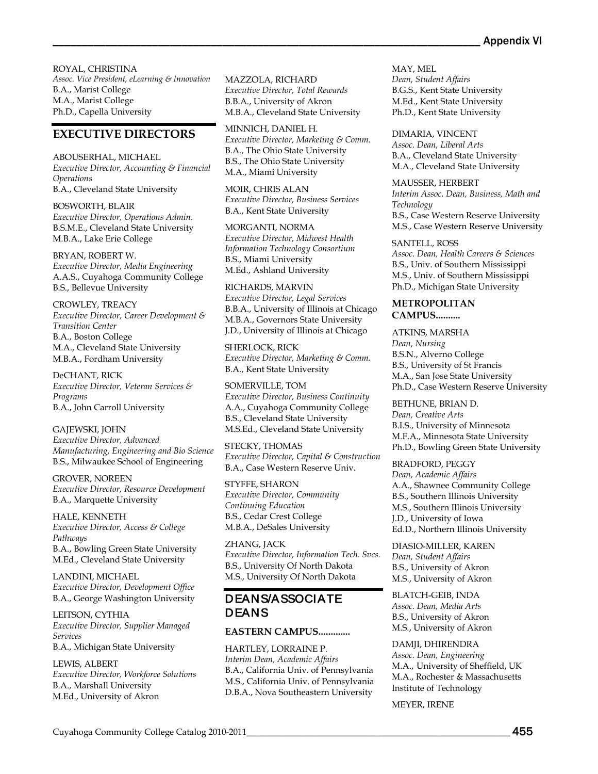ROYAL, CHRISTINA *Assoc. Vice President, eLearning & Innovation* B.A., Marist College M.A., Marist College Ph.D., Capella University

# **EXECUTIVE DIRECTORS**

ABOUSERHAL, MICHAEL *Executive Director, Accounting & Financial Operations* B.A., Cleveland State University

BOSWORTH, BLAIR *Executive Director, Operations Admin.* B.S.M.E., Cleveland State University M.B.A., Lake Erie College

BRYAN, ROBERT W. *Executive Director, Media Engineering* A.A.S., Cuyahoga Community College B.S., Bellevue University

CROWLEY, TREACY *Executive Director, Career Development & Transition Center* B.A., Boston College M.A., Cleveland State University M.B.A., Fordham University

DeCHANT, RICK *Executive Director, Veteran Services & Programs* B.A., John Carroll University

GAJEWSKI, JOHN *Executive Director, Advanced Manufacturing, Engineering and Bio Science* B.S., Milwaukee School of Engineering

GROVER, NOREEN *Executive Director, Resource Development* B.A., Marquette University

HALE, KENNETH *Executive Director, Access & College Pathways* B.A., Bowling Green State University M.Ed., Cleveland State University

LANDINI, MICHAEL *Executive Director, Development Office* B.A., George Washington University

LEITSON, CYTHIA *Executive Director, Supplier Managed Services* B.A., Michigan State University

LEWIS, ALBERT *Executive Director, Workforce Solutions* B.A., Marshall University M.Ed., University of Akron

MAZZOLA, RICHARD *Executive Director, Total Rewards* B.B.A., University of Akron M.B.A., Cleveland State University

MINNICH, DANIEL H. *Executive Director, Marketing & Comm.* B.A., The Ohio State University B.S., The Ohio State University M.A., Miami University

MOIR, CHRIS ALAN *Executive Director, Business Services* B.A., Kent State University

MORGANTI, NORMA *Executive Director, Midwest Health Information Technology Consortium* B.S., Miami University M.Ed., Ashland University

RICHARDS, MARVIN *Executive Director, Legal Services* B.B.A., University of Illinois at Chicago M.B.A., Governors State University J.D., University of Illinois at Chicago

SHERLOCK, RICK *Executive Director, Marketing & Comm.* B.A., Kent State University

SOMERVILLE, TOM *Executive Director, Business Continuity* A.A., Cuyahoga Community College B.S., Cleveland State University M.S.Ed., Cleveland State University

STECKY, THOMAS *Executive Director, Capital & Construction* B.A., Case Western Reserve Univ.

STYFFE, SHARON *Executive Director, Community Continuing Education* B.S., Cedar Crest College M.B.A., DeSales University

ZHANG, JACK *Executive Director, Information Tech. Svcs.* B.S., University Of North Dakota M.S., University Of North Dakota

# DEANS/ASSOCIATE DEANS

## **EASTERN CAMPUS.............**

HARTLEY, LORRAINE P. *Interim Dean, Academic Affairs*  B.A., California Univ. of Pennsylvania M.S., California Univ. of Pennsylvania D.B.A., Nova Southeastern University

MAY, MEL *Dean, Student Affairs* B.G.S., Kent State University M.Ed., Kent State University Ph.D., Kent State University

DIMARIA, VINCENT *Assoc. Dean, Liberal Arts* B.A., Cleveland State University M.A., Cleveland State University

MAUSSER, HERBERT *Interim Assoc. Dean, Business, Math and Technology* B.S., Case Western Reserve University M.S., Case Western Reserve University

SANTELL, ROSS *Assoc. Dean, Health Careers & Sciences* B.S., Univ. of Southern Mississippi M.S., Univ. of Southern Mississippi Ph.D., Michigan State University

## **METROPOLITAN CAMPUS..........**

ATKINS, MARSHA *Dean, Nursing* B.S.N., Alverno College B.S., University of St Francis M.A., San Jose State University Ph.D., Case Western Reserve University

BETHUNE, BRIAN D. *Dean, Creative Arts* B.I.S., University of Minnesota M.F.A., Minnesota State University Ph.D., Bowling Green State University

BRADFORD, PEGGY *Dean, Academic Affairs* A.A., Shawnee Community College B.S., Southern Illinois University M.S., Southern Illinois University J.D., University of Iowa Ed.D., Northern Illinois University

DIASIO-MILLER, KAREN *Dean, Student Affairs* B.S., University of Akron M.S., University of Akron

BLATCH-GEIB, INDA *Assoc. Dean, Media Arts* B.S., University of Akron M.S., University of Akron

DAMJI, DHIRENDRA *Assoc. Dean, Engineering* M.A., University of Sheffield, UK M.A., Rochester & Massachusetts Institute of Technology

MEYER, IRENE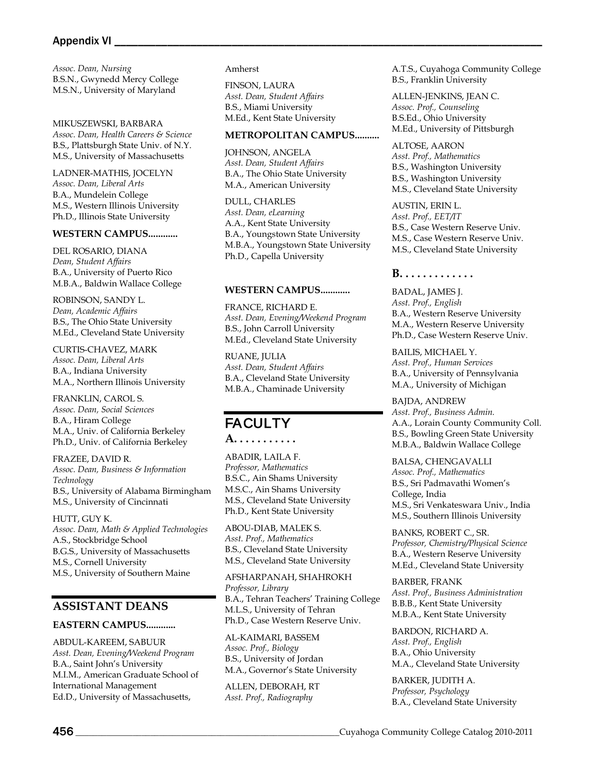#### Appendix VI \_

*Assoc. Dean, Nursing* B.S.N., Gwynedd Mercy College M.S.N., University of Maryland

MIKUSZEWSKI, BARBARA *Assoc. Dean, Health Careers & Science* B.S., Plattsburgh State Univ. of N.Y. M.S., University of Massachusetts

LADNER-MATHIS, JOCELYN *Assoc. Dean, Liberal Arts* B.A., Mundelein College M.S., Western Illinois University Ph.D., Illinois State University

#### **WESTERN CAMPUS............**

DEL ROSARIO, DIANA *Dean, Student Affairs* B.A., University of Puerto Rico M.B.A., Baldwin Wallace College

ROBINSON, SANDY L. *Dean, Academic Affairs* B.S., The Ohio State University M.Ed., Cleveland State University

CURTIS-CHAVEZ, MARK *Assoc. Dean, Liberal Arts* B.A., Indiana University M.A., Northern Illinois University

FRANKLIN, CAROL S. *Assoc. Dean, Social Sciences* B.A., Hiram College M.A., Univ. of California Berkeley Ph.D., Univ. of California Berkeley

FRAZEE, DAVID R. *Assoc. Dean, Business & Information Technology* B.S., University of Alabama Birmingham M.S., University of Cincinnati

HUTT, GUY K. *Assoc. Dean, Math & Applied Technologies* A.S., Stockbridge School B.G.S., University of Massachusetts M.S., Cornell University M.S., University of Southern Maine

## **ASSISTANT DEANS**

#### **EASTERN CAMPUS............**

ABDUL-KAREEM, SABUUR *Asst. Dean, Evening/Weekend Program* B.A., Saint John's University M.I.M., American Graduate School of International Management Ed.D., University of Massachusetts,

#### Amherst

FINSON, LAURA *Asst. Dean, Student Affairs* B.S., Miami University M.Ed., Kent State University

#### **METROPOLITAN CAMPUS..........**

JOHNSON, ANGELA *Asst. Dean, Student Affairs* B.A., The Ohio State University M.A., American University

DULL, CHARLES *Asst. Dean, eLearning* A.A., Kent State University B.A., Youngstown State University M.B.A., Youngstown State University Ph.D., Capella University

#### **WESTERN CAMPUS............**

FRANCE, RICHARD E. *Asst. Dean, Evening/Weekend Program* B.S., John Carroll University M.Ed., Cleveland State University

RUANE, JULIA *Asst. Dean, Student Affairs* B.A., Cleveland State University M.B.A., Chaminade University

# **FACULTY**

**A. . . . . . . . . . .**

ABADIR, LAILA F. *Professor, Mathematics* B.S.C., Ain Shams University M.S.C., Ain Shams University M.S., Cleveland State University Ph.D., Kent State University

ABOU-DIAB, MALEK S. *Asst. Prof., Mathematics* B.S., Cleveland State University M.S., Cleveland State University

AFSHARPANAH, SHAHROKH *Professor, Library* B.A., Tehran Teachers' Training College M.L.S., University of Tehran Ph.D., Case Western Reserve Univ.

AL-KAIMARI, BASSEM *Assoc. Prof., Biology* B.S., University of Jordan M.A., Governor's State University

ALLEN, DEBORAH, RT *Asst. Prof., Radiography*

A.T.S., Cuyahoga Community College B.S., Franklin University

ALLEN-JENKINS, JEAN C. *Assoc. Prof., Counseling* B.S.Ed., Ohio University M.Ed., University of Pittsburgh

ALTOSE, AARON *Asst. Prof., Mathematics* B.S., Washington University B.S., Washington University M.S., Cleveland State University

AUSTIN, ERIN L. *Asst. Prof., EET/IT* B.S., Case Western Reserve Univ. M.S., Case Western Reserve Univ. M.S., Cleveland State University

#### **B. . . . . . . . . . . . .**

BADAL, JAMES J. *Asst. Prof., English* B.A., Western Reserve University M.A., Western Reserve University Ph.D., Case Western Reserve Univ.

BAILIS, MICHAEL Y. *Asst. Prof., Human Services* B.A., University of Pennsylvania M.A., University of Michigan

BAJDA, ANDREW *Asst. Prof., Business Admin.* A.A., Lorain County Community Coll. B.S., Bowling Green State University M.B.A., Baldwin Wallace College

BALSA, CHENGAVALLI *Assoc. Prof., Mathematics* B.S., Sri Padmavathi Women's College, India M.S., Sri Venkateswara Univ., India M.S., Southern Illinois University

BANKS, ROBERT C., SR. *Professor, Chemistry/Physical Science* B.A., Western Reserve University M.Ed., Cleveland State University

BARBER, FRANK *Asst. Prof., Business Administration* B.B.B., Kent State University M.B.A., Kent State University

BARDON, RICHARD A. *Asst. Prof., English* B.A., Ohio University M.A., Cleveland State University

BARKER, JUDITH A. *Professor, Psychology* B.A., Cleveland State University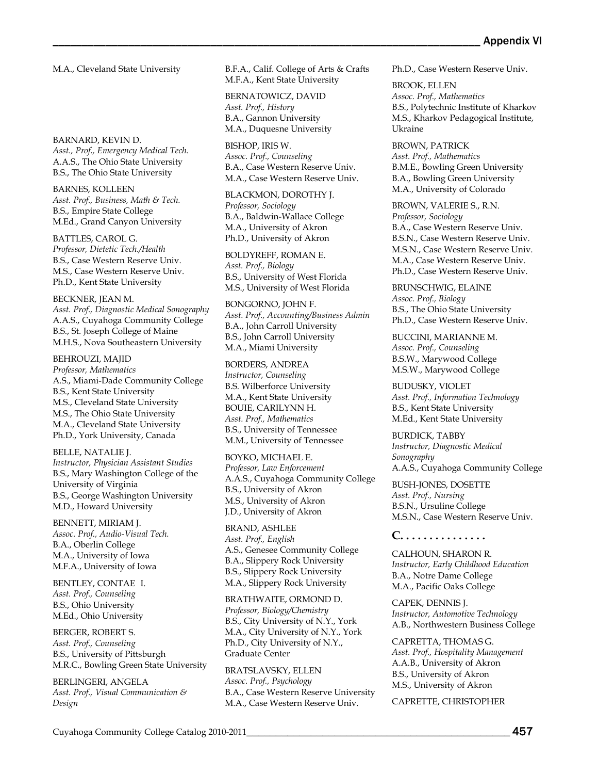M.A., Cleveland State University

BARNARD, KEVIN D.

*Asst., Prof., Emergency Medical Tech.* A.A.S., The Ohio State University B.S., The Ohio State University

BARNES, KOLLEEN *Asst. Prof., Business, Math & Tech.* B.S., Empire State College M.Ed., Grand Canyon University

BATTLES, CAROL G. *Professor, Dietetic Tech./Health* B.S., Case Western Reserve Univ. M.S., Case Western Reserve Univ. Ph.D., Kent State University

BECKNER, JEAN M. *Asst. Prof., Diagnostic Medical Sonography* A.A.S., Cuyahoga Community College B.S., St. Joseph College of Maine M.H.S., Nova Southeastern University

BEHROUZI, MAJID *Professor, Mathematics* A.S., Miami-Dade Community College B.S., Kent State University M.S., Cleveland State University M.S., The Ohio State University M.A., Cleveland State University Ph.D., York University, Canada

BELLE, NATALIE J. *Instructor, Physician Assistant Studies* B.S., Mary Washington College of the University of Virginia B.S., George Washington University M.D., Howard University

BENNETT, MIRIAM J. *Assoc. Prof., Audio-Visual Tech.* B.A., Oberlin College M.A., University of Iowa M.F.A., University of Iowa

BENTLEY, CONTAE I. *Asst. Prof., Counseling* B.S., Ohio University M.Ed., Ohio University

BERGER, ROBERT S. *Asst. Prof., Counseling* B.S., University of Pittsburgh M.R.C., Bowling Green State University

BERLINGERI, ANGELA *Asst. Prof., Visual Communication & Design*

B.F.A., Calif. College of Arts & Crafts M.F.A., Kent State University

BERNATOWICZ, DAVID *Asst. Prof., History* B.A., Gannon University M.A., Duquesne University

BISHOP, IRIS W. *Assoc. Prof., Counseling* B.A., Case Western Reserve Univ. M.A., Case Western Reserve Univ.

BLACKMON, DOROTHY J. *Professor, Sociology* B.A., Baldwin-Wallace College M.A., University of Akron Ph.D., University of Akron

BOLDYREFF, ROMAN E. *Asst. Prof., Biology* B.S., University of West Florida M.S., University of West Florida

BONGORNO, JOHN F. *Asst. Prof., Accounting/Business Admin* B.A., John Carroll University B.S., John Carroll University M.A., Miami University

BORDERS, ANDREA *Instructor, Counseling* B.S. Wilberforce University M.A., Kent State University BOUIE, CARILYNN H. *Asst. Prof., Mathematics* B.S., University of Tennessee M.M., University of Tennessee

BOYKO, MICHAEL E. *Professor, Law Enforcement* A.A.S., Cuyahoga Community College B.S., University of Akron M.S., University of Akron J.D., University of Akron

BRAND, ASHLEE *Asst. Prof., English* A.S., Genesee Community College B.A., Slippery Rock University B.S., Slippery Rock University M.A., Slippery Rock University

BRATHWAITE, ORMOND D. *Professor, Biology/Chemistry* B.S., City University of N.Y., York M.A., City University of N.Y., York Ph.D., City University of N.Y., Graduate Center

BRATSLAVSKY, ELLEN *Assoc. Prof., Psychology* B.A., Case Western Reserve University M.A., Case Western Reserve Univ.

Ph.D., Case Western Reserve Univ.

BROOK, ELLEN *Assoc. Prof., Mathematics* B.S., Polytechnic Institute of Kharkov M.S., Kharkov Pedagogical Institute, Ukraine

BROWN, PATRICK *Asst. Prof., Mathematics* B.M.E., Bowling Green University B.A., Bowling Green University M.A., University of Colorado

BROWN, VALERIE S., R.N. *Professor, Sociology* B.A., Case Western Reserve Univ. B.S.N., Case Western Reserve Univ. M.S.N., Case Western Reserve Univ. M.A., Case Western Reserve Univ. Ph.D., Case Western Reserve Univ.

BRUNSCHWIG, ELAINE *Assoc. Prof., Biology* B.S., The Ohio State University Ph.D., Case Western Reserve Univ.

BUCCINI, MARIANNE M. *Assoc. Prof., Counseling* B.S.W., Marywood College M.S.W., Marywood College

BUDUSKY, VIOLET *Asst. Prof., Information Technology* B.S., Kent State University M.Ed., Kent State University

BURDICK, TABBY *Instructor, Diagnostic Medical Sonography* A.A.S., Cuyahoga Community College

BUSH-JONES, DOSETTE *Asst. Prof., Nursing* B.S.N., Ursuline College M.S.N., Case Western Reserve Univ.

**C. . . . . . . . . . . . . . .**

CALHOUN, SHARON R. *Instructor, Early Childhood Education* B.A., Notre Dame College M.A., Pacific Oaks College

CAPEK, DENNIS J. *Instructor, Automotive Technology* A.B., Northwestern Business College

CAPRETTA, THOMAS G. *Asst. Prof., Hospitality Management* A.A.B., University of Akron B.S., University of Akron M.S., University of Akron

CAPRETTE, CHRISTOPHER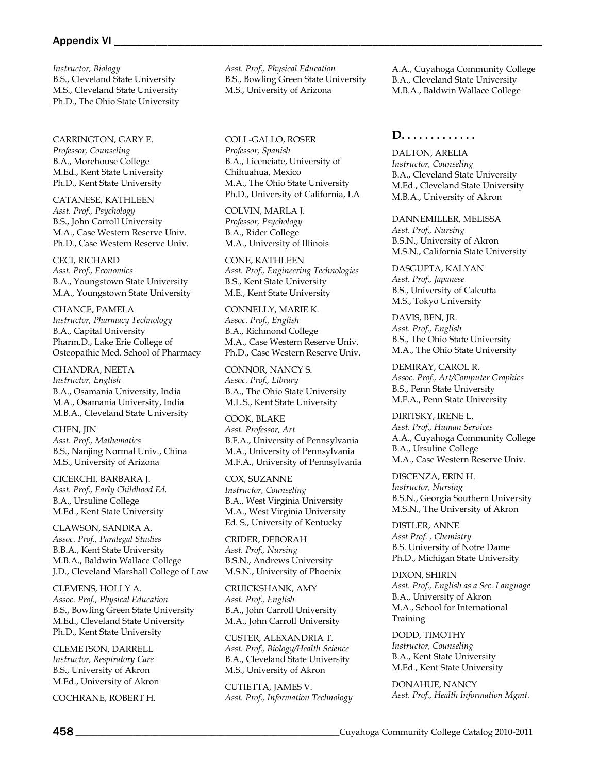#### Appendix VI

*Instructor, Biology*  B.S., Cleveland State University M.S., Cleveland State University Ph.D., The Ohio State University

CARRINGTON, GARY E. *Professor, Counseling* B.A., Morehouse College M.Ed., Kent State University Ph.D., Kent State University

CATANESE, KATHLEEN *Asst. Prof., Psychology* B.S., John Carroll University M.A., Case Western Reserve Univ. Ph.D., Case Western Reserve Univ.

CECI, RICHARD *Asst. Prof., Economics* B.A., Youngstown State University M.A., Youngstown State University

CHANCE, PAMELA *Instructor, Pharmacy Technology* B.A., Capital University Pharm.D., Lake Erie College of Osteopathic Med. School of Pharmacy

CHANDRA, NEETA *Instructor, English* B.A., Osamania University, India M.A., Osamania University, India M.B.A., Cleveland State University

CHEN, JIN *Asst. Prof., Mathematics* B.S., Nanjing Normal Univ., China M.S., University of Arizona

CICERCHI, BARBARA J. *Asst. Prof., Early Childhood Ed.* B.A., Ursuline College M.Ed., Kent State University

CLAWSON, SANDRA A. *Assoc. Prof., Paralegal Studies* B.B.A., Kent State University M.B.A., Baldwin Wallace College J.D., Cleveland Marshall College of Law

CLEMENS, HOLLY A. *Assoc. Prof., Physical Education* B.S., Bowling Green State University M.Ed., Cleveland State University Ph.D., Kent State University

CLEMETSON, DARRELL *Instructor, Respiratory Care* B.S., University of Akron M.Ed., University of Akron

COCHRANE, ROBERT H.

*Asst. Prof., Physical Education* B.S., Bowling Green State University M.S., University of Arizona

COLL-GALLO, ROSER *Professor, Spanish* B.A., Licenciate, University of Chihuahua, Mexico M.A., The Ohio State University Ph.D., University of California, LA

COLVIN, MARLA J. *Professor, Psychology* B.A., Rider College M.A., University of Illinois

CONE, KATHLEEN *Asst. Prof., Engineering Technologies* B.S., Kent State University M.E., Kent State University

CONNELLY, MARIE K. *Assoc. Prof., English* B.A., Richmond College M.A., Case Western Reserve Univ. Ph.D., Case Western Reserve Univ.

CONNOR, NANCY S. *Assoc. Prof., Library* B.A., The Ohio State University M.L.S., Kent State University

COOK, BLAKE *Asst. Professor, Art* B.F.A., University of Pennsylvania M.A., University of Pennsylvania M.F.A., University of Pennsylvania

COX, SUZANNE *Instructor, Counseling*  B.A., West Virginia University M.A., West Virginia University Ed. S., University of Kentucky

CRIDER, DEBORAH *Asst. Prof., Nursing* B.S.N., Andrews University M.S.N., University of Phoenix

CRUICKSHANK, AMY *Asst. Prof., English* B.A., John Carroll University M.A., John Carroll University

CUSTER, ALEXANDRIA T. *Asst. Prof., Biology/Health Science* B.A., Cleveland State University M.S., University of Akron

CUTIETTA, JAMES V. *Asst. Prof., Information Technology*

A.A., Cuyahoga Community College B.A., Cleveland State University M.B.A., Baldwin Wallace College

## **D. . . . . . . . . . . . .**

DALTON, ARELIA *Instructor, Counseling* B.A., Cleveland State University M.Ed., Cleveland State University M.B.A., University of Akron

DANNEMILLER, MELISSA *Asst. Prof., Nursing* B.S.N., University of Akron M.S.N., California State University

DASGUPTA, KALYAN *Asst. Prof., Japanese* B.S., University of Calcutta M.S., Tokyo University

DAVIS, BEN, JR. *Asst. Prof., English* B.S., The Ohio State University M.A., The Ohio State University

DEMIRAY, CAROL R. *Assoc. Prof., Art/Computer Graphics* B.S., Penn State University M.F.A., Penn State University

DIRITSKY, IRENE L. *Asst. Prof., Human Services* A.A., Cuyahoga Community College B.A., Ursuline College M.A., Case Western Reserve Univ.

DISCENZA, ERIN H. *Instructor, Nursing* B.S.N., Georgia Southern University M.S.N., The University of Akron

DISTLER, ANNE *Asst Prof. , Chemistry*  B.S. University of Notre Dame Ph.D., Michigan State University

DIXON, SHIRIN *Asst. Prof., English as a Sec. Language* B.A., University of Akron M.A., School for International Training

DODD, TIMOTHY *Instructor, Counseling*  B.A., Kent State University M.Ed., Kent State University

DONAHUE, NANCY *Asst. Prof., Health Information Mgmt.*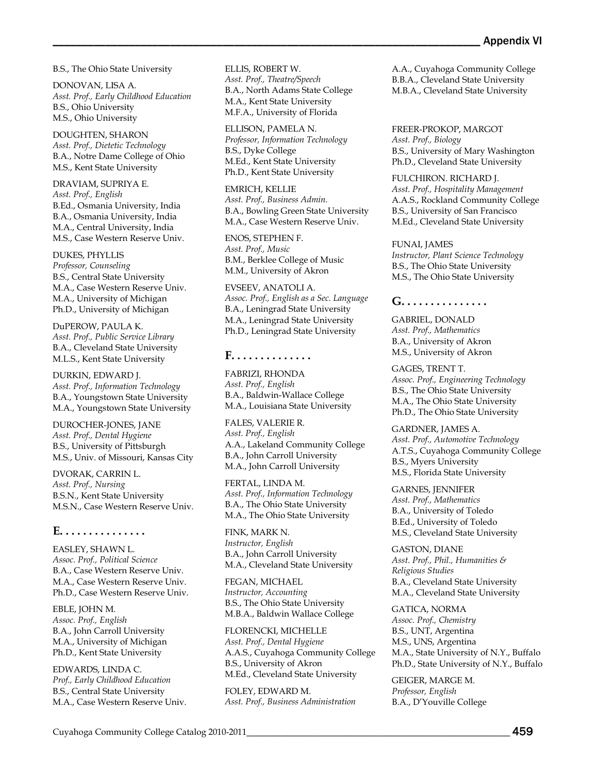B.S., The Ohio State University

DONOVAN, LISA A. *Asst. Prof., Early Childhood Education* B.S., Ohio University M.S., Ohio University

DOUGHTEN, SHARON *Asst. Prof., Dietetic Technology* B.A., Notre Dame College of Ohio M.S., Kent State University

DRAVIAM, SUPRIYA E. *Asst. Prof., English* B.Ed., Osmania University, India B.A., Osmania University, India M.A., Central University, India M.S., Case Western Reserve Univ.

DUKES, PHYLLIS *Professor, Counseling* B.S., Central State University M.A., Case Western Reserve Univ. M.A., University of Michigan Ph.D., University of Michigan

DuPEROW, PAULA K. *Asst. Prof., Public Service Library* B.A., Cleveland State University M.L.S., Kent State University

DURKIN, EDWARD J. *Asst. Prof., Information Technology* B.A., Youngstown State University M.A., Youngstown State University

DUROCHER-JONES, JANE *Asst. Prof., Dental Hygiene* B.S., University of Pittsburgh M.S., Univ. of Missouri, Kansas City

DVORAK, CARRIN L. *Asst. Prof., Nursing* B.S.N., Kent State University M.S.N., Case Western Reserve Univ.

#### **E. . . . . . . . . . . . . . .**

EASLEY, SHAWN L. *Assoc. Prof., Political Science* B.A., Case Western Reserve Univ. M.A., Case Western Reserve Univ. Ph.D., Case Western Reserve Univ.

EBLE, JOHN M. *Assoc. Prof., English* B.A., John Carroll University M.A., University of Michigan Ph.D., Kent State University

EDWARDS, LINDA C. *Prof., Early Childhood Education* B.S., Central State University M.A., Case Western Reserve Univ. ELLIS, ROBERT W. *Asst. Prof., Theatre/Speech* B.A., North Adams State College M.A., Kent State University M.F.A., University of Florida

ELLISON, PAMELA N. *Professor, Information Technology* B.S., Dyke College M.Ed., Kent State University Ph.D., Kent State University

EMRICH, KELLIE *Asst. Prof., Business Admin.* B.A., Bowling Green State University M.A., Case Western Reserve Univ.

ENOS, STEPHEN F. *Asst. Prof., Music* B.M., Berklee College of Music M.M., University of Akron

EVSEEV, ANATOLI A. *Assoc. Prof., English as a Sec. Language* B.A., Leningrad State University M.A., Leningrad State University Ph.D., Leningrad State University

## **F. . . . . . . . . . . . . .**

FABRIZI, RHONDA *Asst. Prof., English* B.A., Baldwin-Wallace College M.A., Louisiana State University

FALES, VALERIE R. *Asst. Prof., English*  A.A., Lakeland Community College B.A., John Carroll University M.A., John Carroll University

FERTAL, LINDA M. *Asst. Prof., Information Technology* B.A., The Ohio State University M.A., The Ohio State University

FINK, MARK N. *Instructor, English* B.A., John Carroll University M.A., Cleveland State University

FEGAN, MICHAEL *Instructor, Accounting*  B.S., The Ohio State University M.B.A., Baldwin Wallace College

FLORENCKI, MICHELLE *Asst. Prof., Dental Hygiene* A.A.S., Cuyahoga Community College B.S., University of Akron M.Ed., Cleveland State University

FOLEY, EDWARD M. *Asst. Prof., Business Administration*

A.A., Cuyahoga Community College B.B.A., Cleveland State University M.B.A., Cleveland State University

FREER-PROKOP, MARGOT *Asst. Prof., Biology* B.S., University of Mary Washington Ph.D., Cleveland State University

FULCHIRON. RICHARD J. *Asst. Prof., Hospitality Management* A.A.S., Rockland Community College B.S., University of San Francisco M.Ed., Cleveland State University

FUNAI, JAMES *Instructor, Plant Science Technology*  B.S., The Ohio State University M.S., The Ohio State University

#### **G. . . . . . . . . . . . . . .**

GABRIEL, DONALD *Asst. Prof., Mathematics* B.A., University of Akron M.S., University of Akron

GAGES, TRENT T. *Assoc. Prof., Engineering Technology* B.S., The Ohio State University M.A., The Ohio State University Ph.D., The Ohio State University

GARDNER, JAMES A. *Asst. Prof., Automotive Technology* A.T.S., Cuyahoga Community College B.S., Myers University M.S., Florida State University

GARNES, JENNIFER *Asst. Prof., Mathematics* B.A., University of Toledo B.Ed., University of Toledo M.S., Cleveland State University

GASTON, DIANE *Asst. Prof., Phil., Humanities & Religious Studies* B.A., Cleveland State University M.A., Cleveland State University

GATICA, NORMA *Assoc. Prof., Chemistry* B.S., UNT, Argentina M.S., UNS, Argentina M.A., State University of N.Y., Buffalo Ph.D., State University of N.Y., Buffalo

GEIGER, MARGE M. *Professor, English* B.A., D'Youville College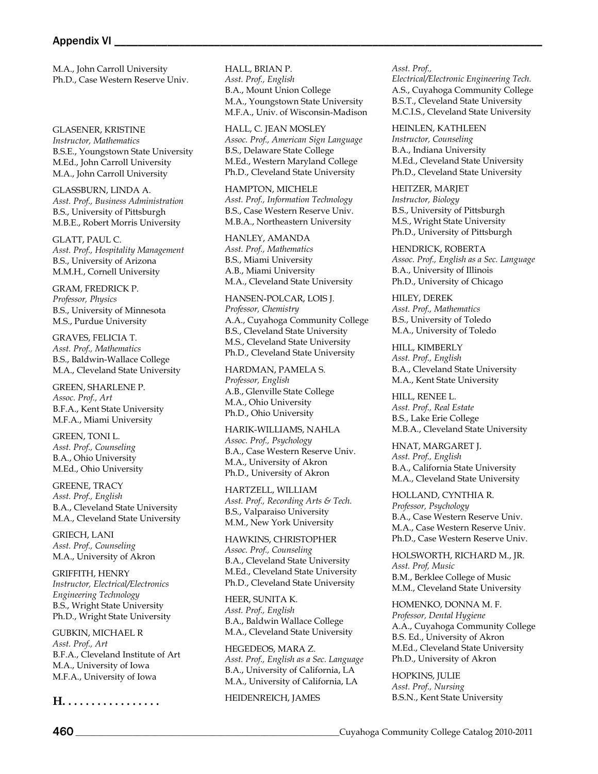M.A., John Carroll University Ph.D., Case Western Reserve Univ.

GLASENER, KRISTINE *Instructor, Mathematics*  B.S.E., Youngstown State University M.Ed., John Carroll University M.A., John Carroll University

GLASSBURN, LINDA A. *Asst. Prof., Business Administration* B.S., University of Pittsburgh M.B.E., Robert Morris University

GLATT, PAUL C. *Asst. Prof., Hospitality Management* B.S., University of Arizona M.M.H., Cornell University

GRAM, FREDRICK P. *Professor, Physics* B.S., University of Minnesota M.S., Purdue University

GRAVES, FELICIA T. *Asst. Prof., Mathematics* B.S., Baldwin-Wallace College M.A., Cleveland State University

GREEN, SHARLENE P. *Assoc. Prof., Art* B.F.A., Kent State University M.F.A., Miami University

GREEN, TONI L. *Asst. Prof., Counseling* B.A., Ohio University M.Ed., Ohio University

GREENE, TRACY *Asst. Prof., English* B.A., Cleveland State University M.A., Cleveland State University

GRIECH, LANI *Asst. Prof., Counseling* M.A., University of Akron

GRIFFITH, HENRY *Instructor, Electrical/Electronics Engineering Technology* B.S., Wright State University Ph.D., Wright State University

GUBKIN, MICHAEL R *Asst. Prof., Art* B.F.A., Cleveland Institute of Art M.A., University of Iowa M.F.A., University of Iowa

**H. . . . . . . . . . . . . . . . .**

HALL, BRIAN P. *Asst. Prof., English* B.A., Mount Union College M.A., Youngstown State University M.F.A., Univ. of Wisconsin-Madison

HALL, C. JEAN MOSLEY *Assoc. Prof., American Sign Language* B.S., Delaware State College M.Ed., Western Maryland College Ph.D., Cleveland State University

HAMPTON, MICHELE *Asst. Prof., Information Technology* B.S., Case Western Reserve Univ. M.B.A., Northeastern University

HANLEY, AMANDA *Asst. Prof., Mathematics* B.S., Miami University A.B., Miami University M.A., Cleveland State University

HANSEN-POLCAR, LOIS J. *Professor, Chemistry* A.A., Cuyahoga Community College B.S., Cleveland State University M.S., Cleveland State University Ph.D., Cleveland State University

HARDMAN, PAMELA S. *Professor, English*  A.B., Glenville State College M.A., Ohio University Ph.D., Ohio University

HARIK-WILLIAMS, NAHLA *Assoc. Prof., Psychology* B.A., Case Western Reserve Univ. M.A., University of Akron Ph.D., University of Akron

HARTZELL, WILLIAM *Asst. Prof., Recording Arts & Tech.* B.S., Valparaiso University M.M., New York University

HAWKINS, CHRISTOPHER *Assoc. Prof., Counseling* B.A., Cleveland State University M.Ed., Cleveland State University Ph.D., Cleveland State University

HEER, SUNITA K. *Asst. Prof., English* B.A., Baldwin Wallace College M.A., Cleveland State University

HEGEDEOS, MARA Z. *Asst. Prof., English as a Sec. Language* B.A., University of California, LA M.A., University of California, LA

HEIDENREICH, JAMES

*Asst. Prof., Electrical/Electronic Engineering Tech.* A.S., Cuyahoga Community College B.S.T., Cleveland State University M.C.I.S., Cleveland State University

HEINLEN, KATHLEEN *Instructor, Counseling*  B.A., Indiana University M.Ed., Cleveland State University Ph.D., Cleveland State University

HEITZER, MARJET *Instructor, Biology*  B.S., University of Pittsburgh M.S., Wright State University Ph.D., University of Pittsburgh

HENDRICK, ROBERTA *Assoc. Prof., English as a Sec. Language* B.A., University of Illinois Ph.D., University of Chicago

HILEY, DEREK *Asst. Prof., Mathematics* B.S., University of Toledo M.A., University of Toledo

HILL, KIMBERLY *Asst. Prof., English* B.A., Cleveland State University M.A., Kent State University

HILL, RENEE L. *Asst. Prof., Real Estate* B.S., Lake Erie College M.B.A., Cleveland State University

HNAT, MARGARET J. *Asst. Prof., English* B.A., California State University M.A., Cleveland State University

HOLLAND, CYNTHIA R. *Professor, Psychology* B.A., Case Western Reserve Univ. M.A., Case Western Reserve Univ. Ph.D., Case Western Reserve Univ.

HOLSWORTH, RICHARD M., JR. *Asst. Prof, Music* B.M., Berklee College of Music M.M., Cleveland State University

HOMENKO, DONNA M. F. *Professor, Dental Hygiene* A.A., Cuyahoga Community College B.S. Ed., University of Akron M.Ed., Cleveland State University Ph.D., University of Akron

HOPKINS, JULIE *Asst. Prof., Nursing* B.S.N., Kent State University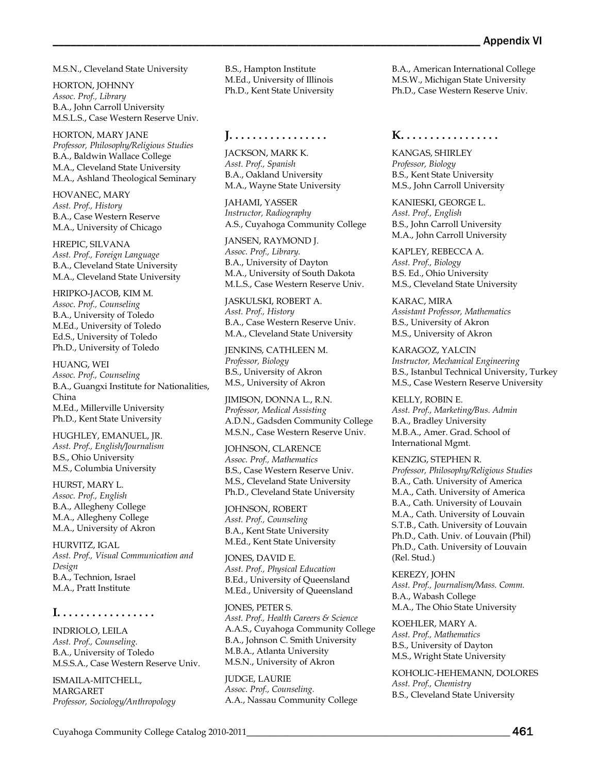M.S.N., Cleveland State University

HORTON, JOHNNY *Assoc. Prof., Library* B.A., John Carroll University M.S.L.S., Case Western Reserve Univ.

HORTON, MARY JANE *Professor, Philosophy/Religious Studies* B.A., Baldwin Wallace College M.A., Cleveland State University M.A., Ashland Theological Seminary

HOVANEC, MARY *Asst. Prof., History* B.A., Case Western Reserve M.A., University of Chicago

HREPIC, SILVANA *Asst. Prof., Foreign Language* B.A., Cleveland State University M.A., Cleveland State University

HRIPKO-JACOB, KIM M. *Assoc. Prof., Counseling* B.A., University of Toledo M.Ed., University of Toledo Ed.S., University of Toledo Ph.D., University of Toledo

HUANG, WEI *Assoc. Prof., Counseling* B.A., Guangxi Institute for Nationalities, China M.Ed., Millerville University Ph.D., Kent State University

HUGHLEY, EMANUEL, JR. *Asst. Prof., English/Journalism* B.S., Ohio University M.S., Columbia University

HURST, MARY L. *Assoc. Prof., English* B.A., Allegheny College M.A., Allegheny College M.A., University of Akron

HURVITZ, IGAL *Asst. Prof., Visual Communication and Design* B.A., Technion, Israel M.A., Pratt Institute

#### **I. . . . . . . . . . . . . . . . .**

INDRIOLO, LEILA *Asst. Prof., Counseling.* B.A., University of Toledo M.S.S.A., Case Western Reserve Univ.

ISMAILA-MITCHELL, MARGARET *Professor, Sociology/Anthropology*  B.S., Hampton Institute M.Ed., University of Illinois Ph.D., Kent State University

**J. . . . . . . . . . . . . . . . .**

JACKSON, MARK K. *Asst. Prof., Spanish* B.A., Oakland University M.A., Wayne State University

JAHAMI, YASSER *Instructor, Radiography* A.S., Cuyahoga Community College

JANSEN, RAYMOND J. *Assoc. Prof., Library.* B.A., University of Dayton M.A., University of South Dakota M.L.S., Case Western Reserve Univ.

JASKULSKI, ROBERT A. *Asst. Prof., History* B.A., Case Western Reserve Univ. M.A., Cleveland State University

JENKINS, CATHLEEN M. *Professor, Biology* B.S., University of Akron M.S., University of Akron

JIMISON, DONNA L., R.N. *Professor, Medical Assisting* A.D.N., Gadsden Community College M.S.N., Case Western Reserve Univ.

JOHNSON, CLARENCE *Assoc. Prof., Mathematics* B.S., Case Western Reserve Univ. M.S., Cleveland State University Ph.D., Cleveland State University

JOHNSON, ROBERT *Asst. Prof., Counseling* B.A., Kent State University M.Ed., Kent State University

JONES, DAVID E. *Asst. Prof., Physical Education* B.Ed., University of Queensland M.Ed., University of Queensland

JONES, PETER S. *Asst. Prof., Health Careers & Science*  A.A.S., Cuyahoga Community College B.A., Johnson C. Smith University M.B.A., Atlanta University M.S.N., University of Akron

JUDGE, LAURIE *Assoc. Prof., Counseling.* A.A., Nassau Community College

B.A., American International College M.S.W., Michigan State University Ph.D., Case Western Reserve Univ.

## **K. . . . . . . . . . . . . . . . .**

KANGAS, SHIRLEY *Professor, Biology* B.S., Kent State University M.S., John Carroll University

KANIESKI, GEORGE L. *Asst. Prof., English* B.S., John Carroll University M.A., John Carroll University

KAPLEY, REBECCA A. *Asst. Prof., Biology* B.S. Ed., Ohio University M.S., Cleveland State University

KARAC, MIRA *Assistant Professor, Mathematics* B.S., University of Akron M.S., University of Akron

KARAGOZ, YALCIN *Instructor, Mechanical Engineering* B.S., Istanbul Technical University, Turkey M.S., Case Western Reserve University

KELLY, ROBIN E. *Asst. Prof., Marketing/Bus. Admin* B.A., Bradley University M.B.A., Amer. Grad. School of International Mgmt.

KENZIG, STEPHEN R. *Professor, Philosophy/Religious Studies* B.A., Cath. University of America M.A., Cath. University of America B.A., Cath. University of Louvain M.A., Cath. University of Louvain S.T.B., Cath. University of Louvain Ph.D., Cath. Univ. of Louvain (Phil) Ph.D., Cath. University of Louvain (Rel. Stud.)

KEREZY, JOHN *Asst. Prof., Journalism/Mass. Comm.* B.A., Wabash College M.A., The Ohio State University

KOEHLER, MARY A. *Asst. Prof., Mathematics* B.S., University of Dayton M.S., Wright State University

KOHOLIC-HEHEMANN, DOLORES *Asst. Prof., Chemistry* B.S., Cleveland State University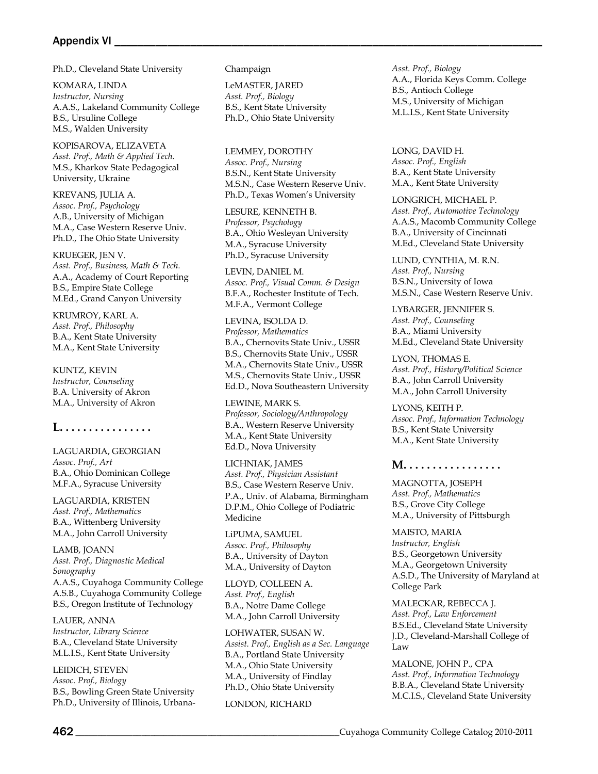## Appendix VI \_

Ph.D., Cleveland State University

KOMARA, LINDA *Instructor, Nursing*  A.A.S., Lakeland Community College B.S., Ursuline College M.S., Walden University

KOPISAROVA, ELIZAVETA *Asst. Prof., Math & Applied Tech.* M.S., Kharkov State Pedagogical University, Ukraine

KREVANS, JULIA A. *Assoc. Prof., Psychology* A.B., University of Michigan M.A., Case Western Reserve Univ. Ph.D., The Ohio State University

KRUEGER, JEN V. *Asst. Prof., Business, Math & Tech.* A.A., Academy of Court Reporting B.S., Empire State College M.Ed., Grand Canyon University

KRUMROY, KARL A. *Asst. Prof., Philosophy* B.A., Kent State University M.A., Kent State University

KUNTZ, KEVIN *Instructor, Counseling*  B.A. University of Akron M.A., University of Akron

## **L. . . . . . . . . . . . . . . .**

LAGUARDIA, GEORGIAN *Assoc. Prof., Art* B.A., Ohio Dominican College M.F.A., Syracuse University

LAGUARDIA, KRISTEN *Asst. Prof., Mathematics* B.A., Wittenberg University M.A., John Carroll University

LAMB, JOANN *Asst. Prof., Diagnostic Medical Sonography* A.A.S., Cuyahoga Community College A.S.B., Cuyahoga Community College B.S., Oregon Institute of Technology

LAUER, ANNA *Instructor, Library Science* B.A., Cleveland State University M.L.I.S., Kent State University

LEIDICH, STEVEN *Assoc. Prof., Biology* B.S., Bowling Green State University Ph.D., University of Illinois, UrbanaChampaign

LeMASTER, JARED *Asst. Prof., Biology* B.S., Kent State University Ph.D., Ohio State University

LEMMEY, DOROTHY *Assoc. Prof., Nursing* B.S.N., Kent State University M.S.N., Case Western Reserve Univ. Ph.D., Texas Women's University

LESURE, KENNETH B. *Professor, Psychology* B.A., Ohio Wesleyan University M.A., Syracuse University Ph.D., Syracuse University

LEVIN, DANIEL M. *Assoc. Prof., Visual Comm. & Design* B.F.A., Rochester Institute of Tech. M.F.A., Vermont College

LEVINA, ISOLDA D. *Professor, Mathematics* B.A., Chernovits State Univ., USSR B.S., Chernovits State Univ., USSR M.A., Chernovits State Univ., USSR M.S., Chernovits State Univ., USSR Ed.D., Nova Southeastern University

LEWINE, MARK S. *Professor, Sociology/Anthropology* B.A., Western Reserve University M.A., Kent State University Ed.D., Nova University

LICHNIAK, JAMES *Asst. Prof., Physician Assistant* B.S., Case Western Reserve Univ. P.A., Univ. of Alabama, Birmingham D.P.M., Ohio College of Podiatric Medicine

LiPUMA, SAMUEL *Assoc. Prof., Philosophy* B.A., University of Dayton M.A., University of Dayton

LLOYD, COLLEEN A. *Asst. Prof., English* B.A., Notre Dame College M.A., John Carroll University

LOHWATER, SUSAN W. *Assist. Prof., English as a Sec. Language* B.A., Portland State University M.A., Ohio State University M.A., University of Findlay Ph.D., Ohio State University

LONDON, RICHARD

*Asst. Prof., Biology* A.A., Florida Keys Comm. College B.S., Antioch College M.S., University of Michigan M.L.I.S., Kent State University

LONG, DAVID H. *Assoc. Prof., English* B.A., Kent State University M.A., Kent State University

LONGRICH, MICHAEL P. *Asst. Prof., Automotive Technology* A.A.S., Macomb Community College B.A., University of Cincinnati M.Ed., Cleveland State University

LUND, CYNTHIA, M. R.N. *Asst. Prof., Nursing* B.S.N., University of Iowa M.S.N., Case Western Reserve Univ.

LYBARGER, JENNIFER S. *Asst. Prof., Counseling* B.A., Miami University M.Ed., Cleveland State University

LYON, THOMAS E. *Asst. Prof., History/Political Science* B.A., John Carroll University M.A., John Carroll University

LYONS, KEITH P. *Assoc. Prof., Information Technology* B.S., Kent State University M.A., Kent State University

## **M. . . . . . . . . . . . . . . . .**

MAGNOTTA, JOSEPH *Asst. Prof., Mathematics* B.S., Grove City College M.A., University of Pittsburgh

MAISTO, MARIA *Instructor, English*  B.S., Georgetown University M.A., Georgetown University A.S.D., The University of Maryland at College Park

MALECKAR, REBECCA J. *Asst. Prof., Law Enforcement* B.S.Ed., Cleveland State University J.D., Cleveland-Marshall College of Law

MALONE, JOHN P., CPA *Asst. Prof., Information Technology* B.B.A., Cleveland State University M.C.I.S., Cleveland State University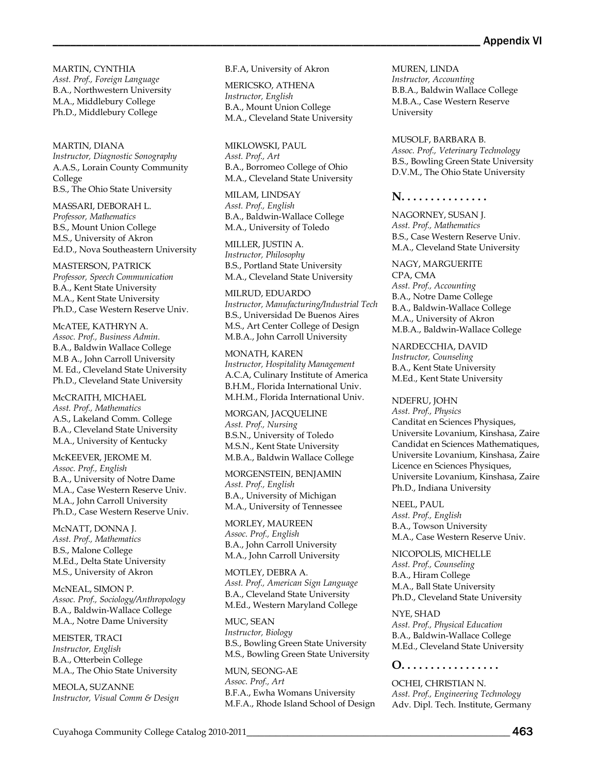MARTIN, CYNTHIA *Asst. Prof., Foreign Language* B.A., Northwestern University M.A., Middlebury College Ph.D., Middlebury College

MARTIN, DIANA *Instructor, Diagnostic Sonography*  A.A.S., Lorain County Community College B.S., The Ohio State University

MASSARI, DEBORAH L. *Professor, Mathematics* B.S., Mount Union College M.S., University of Akron Ed.D., Nova Southeastern University

MASTERSON, PATRICK *Professor, Speech Communication* B.A., Kent State University M.A., Kent State University Ph.D., Case Western Reserve Univ.

McATEE, KATHRYN A. *Assoc. Prof., Business Admin.* B.A., Baldwin Wallace College M.B A., John Carroll University M. Ed., Cleveland State University Ph.D., Cleveland State University

McCRAITH, MICHAEL *Asst. Prof., Mathematics* A.S., Lakeland Comm. College B.A., Cleveland State University M.A., University of Kentucky

McKEEVER, JEROME M. *Assoc. Prof., English* B.A., University of Notre Dame M.A., Case Western Reserve Univ. M.A., John Carroll University Ph.D., Case Western Reserve Univ.

McNATT, DONNA J. *Asst. Prof., Mathematics* B.S., Malone College M.Ed., Delta State University M.S., University of Akron

McNEAL, SIMON P. *Assoc. Prof., Sociology/Anthropology* B.A., Baldwin-Wallace College M.A., Notre Dame University

MEISTER, TRACI *Instructor, English*  B.A., Otterbein College M.A., The Ohio State University

MEOLA, SUZANNE *Instructor, Visual Comm & Design*  B.F.A, University of Akron

MERICSKO, ATHENA *Instructor, English*  B.A., Mount Union College M.A., Cleveland State University

MIKLOWSKI, PAUL *Asst. Prof., Art* B.A., Borromeo College of Ohio M.A., Cleveland State University

MILAM, LINDSAY *Asst. Prof., English* B.A., Baldwin-Wallace College M.A., University of Toledo

MILLER, JUSTIN A. *Instructor, Philosophy* B.S., Portland State University M.A., Cleveland State University

MILRUD, EDUARDO *Instructor, Manufacturing/Industrial Tech* B.S., Universidad De Buenos Aires M.S., Art Center College of Design M.B.A., John Carroll University

MONATH, KAREN *Instructor, Hospitality Management* A.C.A, Culinary Institute of America B.H.M., Florida International Univ. M.H.M., Florida International Univ.

MORGAN, JACQUELINE *Asst. Prof., Nursing* B.S.N., University of Toledo M.S.N., Kent State University M.B.A., Baldwin Wallace College

MORGENSTEIN, BENJAMIN *Asst. Prof., English* B.A., University of Michigan M.A., University of Tennessee

MORLEY, MAUREEN *Assoc. Prof., English* B.A., John Carroll University M.A., John Carroll University

MOTLEY, DEBRA A. *Asst. Prof., American Sign Language* B.A., Cleveland State University M.Ed., Western Maryland College

MUC, SEAN *Instructor, Biology*  B.S., Bowling Green State University M.S., Bowling Green State University

MUN, SEONG-AE *Assoc. Prof., Art* B.F.A., Ewha Womans University M.F.A., Rhode Island School of Design MUREN, LINDA *Instructor, Accounting* B.B.A., Baldwin Wallace College M.B.A., Case Western Reserve University

MUSOLF, BARBARA B. *Assoc. Prof., Veterinary Technology* B.S., Bowling Green State University D.V.M., The Ohio State University

#### **N. . . . . . . . . . . . . . .**

NAGORNEY, SUSAN J. *Asst. Prof., Mathematics* B.S., Case Western Reserve Univ. M.A., Cleveland State University

NAGY, MARGUERITE CPA, CMA *Asst. Prof., Accounting* B.A., Notre Dame College B.A., Baldwin-Wallace College M.A., University of Akron M.B.A., Baldwin-Wallace College

NARDECCHIA, DAVID *Instructor, Counseling*  B.A., Kent State University M.Ed., Kent State University

NDEFRU, JOHN *Asst. Prof., Physics* Canditat en Sciences Physiques, Universite Lovanium, Kinshasa, Zaire Candidat en Sciences Mathematiques, Universite Lovanium, Kinshasa, Zaire Licence en Sciences Physiques, Universite Lovanium, Kinshasa, Zaire Ph.D., Indiana University

NEEL, PAUL *Asst. Prof., English* B.A., Towson University M.A., Case Western Reserve Univ.

NICOPOLIS, MICHELLE *Asst. Prof., Counseling* B.A., Hiram College M.A., Ball State University Ph.D., Cleveland State University

NYE, SHAD *Asst. Prof., Physical Education* B.A., Baldwin-Wallace College M.Ed., Cleveland State University

#### **O. . . . . . . . . . . . . . . . .**

OCHEI, CHRISTIAN N. *Asst. Prof., Engineering Technology* Adv. Dipl. Tech. Institute, Germany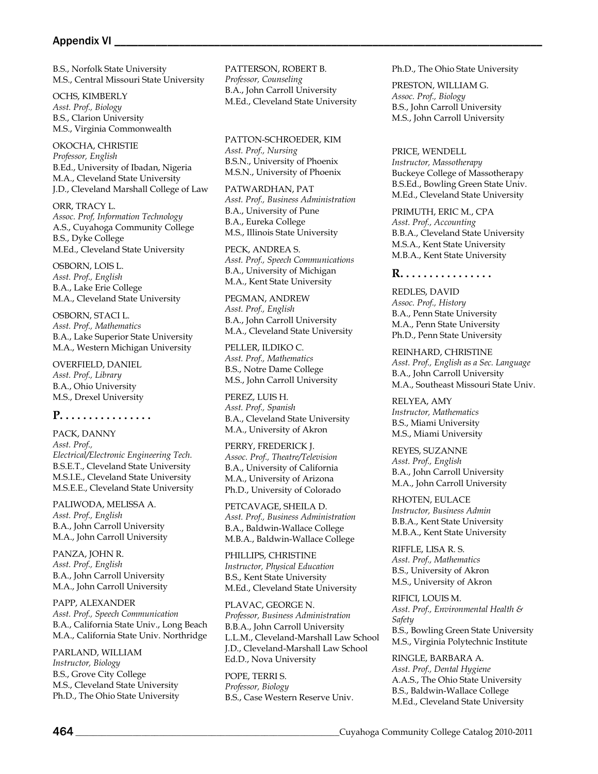#### Appendix VI \_

B.S., Norfolk State University M.S., Central Missouri State University

OCHS, KIMBERLY *Asst. Prof., Biology* B.S., Clarion University M.S., Virginia Commonwealth

OKOCHA, CHRISTIE *Professor, English* B.Ed., University of Ibadan, Nigeria M.A., Cleveland State University J.D., Cleveland Marshall College of Law

ORR, TRACY L. *Assoc. Prof, Information Technology* A.S., Cuyahoga Community College B.S., Dyke College M.Ed., Cleveland State University

OSBORN, LOIS L. *Asst. Prof., English* B.A., Lake Erie College M.A., Cleveland State University

OSBORN, STACI L. *Asst. Prof., Mathematics* B.A., Lake Superior State University M.A., Western Michigan University

OVERFIELD, DANIEL *Asst. Prof., Library* B.A., Ohio University M.S., Drexel University

**P. . . . . . . . . . . . . . . .**

PACK, DANNY *Asst. Prof., Electrical/Electronic Engineering Tech.* B.S.E.T., Cleveland State University M.S.I.E., Cleveland State University M.S.E.E., Cleveland State University

PALIWODA, MELISSA A. *Asst. Prof., English* B.A., John Carroll University M.A., John Carroll University

PANZA, JOHN R. *Asst. Prof., English* B.A., John Carroll University M.A., John Carroll University

PAPP, ALEXANDER *Asst. Prof., Speech Communication* B.A., California State Univ., Long Beach M.A., California State Univ. Northridge

PARLAND, WILLIAM *Instructor, Biology* B.S., Grove City College M.S., Cleveland State University Ph.D., The Ohio State University PATTERSON, ROBERT B. *Professor, Counseling* B.A., John Carroll University M.Ed., Cleveland State University

PATTON-SCHROEDER, KIM *Asst. Prof., Nursing* B.S.N., University of Phoenix M.S.N., University of Phoenix

PATWARDHAN, PAT *Asst. Prof., Business Administration* B.A., University of Pune B.A., Eureka College M.S., Illinois State University

PECK, ANDREA S. *Asst. Prof., Speech Communications* B.A., University of Michigan M.A., Kent State University

PEGMAN, ANDREW *Asst. Prof., English* B.A., John Carroll University M.A., Cleveland State University

PELLER, ILDIKO C. *Asst. Prof., Mathematics* B.S., Notre Dame College M.S., John Carroll University

PEREZ, LUIS H. *Asst. Prof., Spanish* B.A., Cleveland State University M.A., University of Akron

PERRY, FREDERICK J. *Assoc. Prof., Theatre/Television* B.A., University of California M.A., University of Arizona Ph.D., University of Colorado

PETCAVAGE, SHEILA D. *Asst. Prof., Business Administration* B.A., Baldwin-Wallace College M.B.A., Baldwin-Wallace College

PHILLIPS, CHRISTINE *Instructor, Physical Education* B.S., Kent State University M.Ed., Cleveland State University

PLAVAC, GEORGE N. *Professor, Business Administration* B.B.A., John Carroll University L.L.M., Cleveland-Marshall Law School J.D., Cleveland-Marshall Law School Ed.D., Nova University

POPE, TERRI S. *Professor, Biology* B.S., Case Western Reserve Univ. Ph.D., The Ohio State University

PRESTON, WILLIAM G. *Assoc. Prof., Biology* B.S., John Carroll University M.S., John Carroll University

PRICE, WENDELL *Instructor, Massotherapy* Buckeye College of Massotherapy B.S.Ed., Bowling Green State Univ. M.Ed., Cleveland State University

PRIMUTH, ERIC M., CPA *Asst. Prof., Accounting* B.B.A., Cleveland State University M.S.A., Kent State University M.B.A., Kent State University

#### **R. . . . . . . . . . . . . . . .**

REDLES, DAVID *Assoc. Prof., History* B.A., Penn State University M.A., Penn State University Ph.D., Penn State University

REINHARD, CHRISTINE *Asst. Prof., English as a Sec. Language* B.A., John Carroll University M.A., Southeast Missouri State Univ.

RELYEA, AMY *Instructor, Mathematics*  B.S., Miami University M.S., Miami University

REYES, SUZANNE *Asst. Prof., English* B.A., John Carroll University M.A., John Carroll University

RHOTEN, EULACE *Instructor, Business Admin*  B.B.A., Kent State University M.B.A., Kent State University

RIFFLE, LISA R. S. *Asst. Prof., Mathematics* B.S., University of Akron M.S., University of Akron

RIFICI, LOUIS M. *Asst. Prof., Environmental Health & Safety* B.S., Bowling Green State University M.S., Virginia Polytechnic Institute

RINGLE, BARBARA A. *Asst. Prof., Dental Hygiene* A.A.S., The Ohio State University B.S., Baldwin-Wallace College M.Ed., Cleveland State University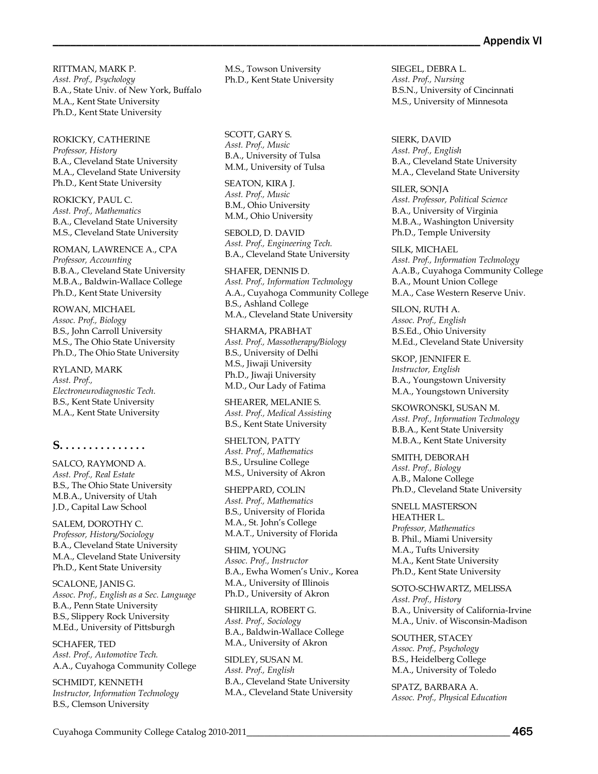RITTMAN, MARK P. *Asst. Prof., Psychology* B.A., State Univ. of New York, Buffalo M.A., Kent State University Ph.D., Kent State University

ROKICKY, CATHERINE *Professor, History* B.A., Cleveland State University M.A., Cleveland State University Ph.D., Kent State University

ROKICKY, PAUL C. *Asst. Prof., Mathematics* B.A., Cleveland State University M.S., Cleveland State University

ROMAN, LAWRENCE A., CPA *Professor, Accounting* B.B.A., Cleveland State University M.B.A., Baldwin-Wallace College Ph.D., Kent State University

ROWAN, MICHAEL *Assoc. Prof., Biology* B.S., John Carroll University M.S., The Ohio State University Ph.D., The Ohio State University

RYLAND, MARK *Asst. Prof., Electroneurodiagnostic Tech.* B.S., Kent State University M.A., Kent State University

# **S. . . . . . . . . . . . . . .**

SALCO, RAYMOND A. *Asst. Prof., Real Estate* B.S., The Ohio State University M.B.A., University of Utah J.D., Capital Law School

SALEM, DOROTHY C. *Professor, History/Sociology* B.A., Cleveland State University M.A., Cleveland State University Ph.D., Kent State University

SCALONE, JANIS G. *Assoc. Prof., English as a Sec. Language* B.A., Penn State University B.S., Slippery Rock University M.Ed., University of Pittsburgh

SCHAFER, TED *Asst. Prof., Automotive Tech.* A.A., Cuyahoga Community College

SCHMIDT, KENNETH *Instructor, Information Technology* B.S., Clemson University

M.S., Towson University Ph.D., Kent State University

SCOTT, GARY S. *Asst. Prof., Music* B.A., University of Tulsa M.M., University of Tulsa

SEATON, KIRA J. *Asst. Prof., Music* B.M., Ohio University M.M., Ohio University

SEBOLD, D. DAVID *Asst. Prof., Engineering Tech.* B.A., Cleveland State University

SHAFER, DENNIS D. *Asst. Prof., Information Technology* A.A., Cuyahoga Community College B.S., Ashland College M.A., Cleveland State University

SHARMA, PRABHAT *Asst. Prof., Massotherapy/Biology* B.S., University of Delhi M.S., Jiwaji University Ph.D., Jiwaji University M.D., Our Lady of Fatima

SHEARER, MELANIE S. *Asst. Prof., Medical Assisting* B.S., Kent State University

SHELTON, PATTY *Asst. Prof., Mathematics* B.S., Ursuline College M.S., University of Akron

SHEPPARD, COLIN *Asst. Prof., Mathematics* B.S., University of Florida M.A., St. John's College M.A.T., University of Florida

SHIM, YOUNG *Assoc. Prof., Instructor* B.A., Ewha Women's Univ., Korea M.A., University of Illinois Ph.D., University of Akron

SHIRILLA, ROBERT G. *Asst. Prof., Sociology* B.A., Baldwin-Wallace College M.A., University of Akron

SIDLEY, SUSAN M. *Asst. Prof., English* B.A., Cleveland State University M.A., Cleveland State University SIEGEL, DEBRA L. *Asst. Prof., Nursing* B.S.N., University of Cincinnati M.S., University of Minnesota

SIERK, DAVID *Asst. Prof., English* B.A., Cleveland State University M.A., Cleveland State University

SILER, SONJA *Asst. Professor, Political Science* B.A., University of Virginia M.B.A., Washington University Ph.D., Temple University

SILK, MICHAEL *Asst. Prof., Information Technology* A.A.B., Cuyahoga Community College B.A., Mount Union College M.A., Case Western Reserve Univ.

SILON, RUTH A. *Assoc. Prof., English* B.S.Ed., Ohio University M.Ed., Cleveland State University

SKOP, JENNIFER E. *Instructor, English* B.A., Youngstown University M.A., Youngstown University

SKOWRONSKI, SUSAN M. *Asst. Prof., Information Technology* B.B.A., Kent State University M.B.A., Kent State University

SMITH, DEBORAH *Asst. Prof., Biology* A.B., Malone College Ph.D., Cleveland State University

SNELL MASTERSON HEATHER L. *Professor, Mathematics* B. Phil., Miami University M.A., Tufts University M.A., Kent State University Ph.D., Kent State University

SOTO-SCHWARTZ, MELISSA *Asst. Prof., History* B.A., University of California-Irvine M.A., Univ. of Wisconsin-Madison

SOUTHER, STACEY *Assoc. Prof., Psychology* B.S., Heidelberg College M.A., University of Toledo

SPATZ, BARBARA A. *Assoc. Prof., Physical Education*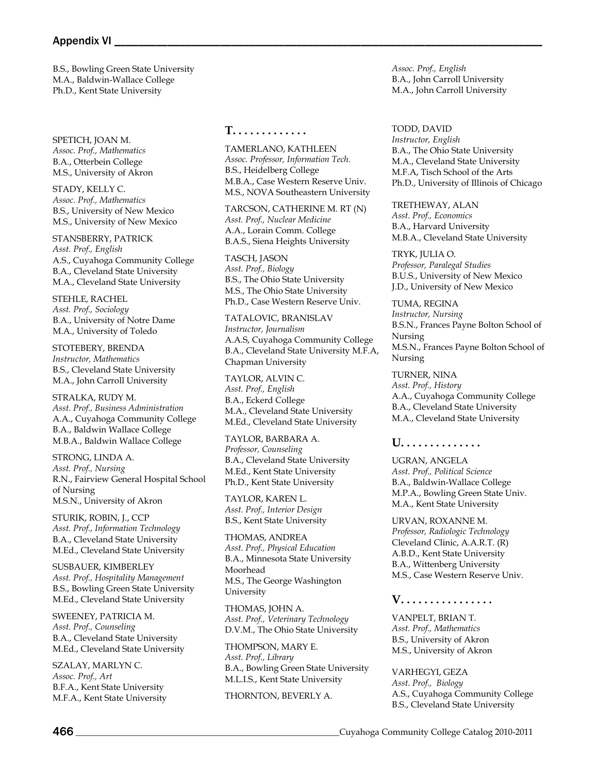#### Appendix VI \_\_

B.S., Bowling Green State University M.A., Baldwin-Wallace College Ph.D., Kent State University

SPETICH, JOAN M. *Assoc. Prof., Mathematics* B.A., Otterbein College M.S., University of Akron

STADY, KELLY C. *Assoc. Prof., Mathematics* B.S., University of New Mexico M.S., University of New Mexico

STANSBERRY, PATRICK *Asst. Prof., English* A.S., Cuyahoga Community College B.A., Cleveland State University M.A., Cleveland State University

STEHLE, RACHEL *Asst. Prof., Sociology* B.A., University of Notre Dame M.A., University of Toledo

STOTEBERY, BRENDA *Instructor, Mathematics* B.S., Cleveland State University M.A., John Carroll University

STRALKA, RUDY M. *Asst. Prof., Business Administration* A.A., Cuyahoga Community College B.A., Baldwin Wallace College M.B.A., Baldwin Wallace College

STRONG, LINDA A. *Asst. Prof., Nursing* R.N., Fairview General Hospital School of Nursing M.S.N., University of Akron

STURIK, ROBIN, J., CCP *Asst. Prof., Information Technology* B.A., Cleveland State University M.Ed., Cleveland State University

SUSBAUER, KIMBERLEY *Asst. Prof., Hospitality Management* B.S., Bowling Green State University M.Ed., Cleveland State University

SWEENEY, PATRICIA M. *Asst. Prof., Counseling* B.A., Cleveland State University M.Ed., Cleveland State University

SZALAY, MARLYN C. *Assoc. Prof., Art* B.F.A., Kent State University M.F.A., Kent State University

#### **T. . . . . . . . . . . . .**

TAMERLANO, KATHLEEN *Assoc. Professor, Information Tech.* B.S., Heidelberg College M.B.A., Case Western Reserve Univ. M.S., NOVA Southeastern University

TARCSON, CATHERINE M. RT (N) *Asst. Prof., Nuclear Medicine* A.A., Lorain Comm. College B.A.S., Siena Heights University

TASCH, JASON *Asst. Prof., Biology* B.S., The Ohio State University M.S., The Ohio State University Ph.D., Case Western Reserve Univ.

TATALOVIC, BRANISLAV *Instructor, Journalism* A.A.S, Cuyahoga Community College B.A., Cleveland State University M.F.A, Chapman University

TAYLOR, ALVIN C. *Asst. Prof., English* B.A., Eckerd College M.A., Cleveland State University M.Ed., Cleveland State University

TAYLOR, BARBARA A. *Professor, Counseling* B.A., Cleveland State University M.Ed., Kent State University Ph.D., Kent State University

TAYLOR, KAREN L. *Asst. Prof., Interior Design* B.S., Kent State University

THOMAS, ANDREA *Asst. Prof., Physical Education* B.A., Minnesota State University Moorhead M.S., The George Washington University

THOMAS, JOHN A. *Asst. Prof., Veterinary Technology* D.V.M., The Ohio State University

THOMPSON, MARY E. *Asst. Prof., Library* B.A., Bowling Green State University M.L.I.S., Kent State University

THORNTON, BEVERLY A.

*Assoc. Prof., English* B.A., John Carroll University M.A., John Carroll University

TODD, DAVID *Instructor, English*  B.A., The Ohio State University M.A., Cleveland State University M.F.A, Tisch School of the Arts Ph.D., University of Illinois of Chicago

TRETHEWAY, ALAN *Asst. Prof., Economics* B.A., Harvard University M.B.A., Cleveland State University

TRYK, JULIA O. *Professor, Paralegal Studies* B.U.S., University of New Mexico J.D., University of New Mexico

TUMA, REGINA *Instructor, Nursing* B.S.N., Frances Payne Bolton School of Nursing M.S.N., Frances Payne Bolton School of Nursing

TURNER, NINA *Asst. Prof., History* A.A., Cuyahoga Community College B.A., Cleveland State University M.A., Cleveland State University

## **U. . . . . . . . . . . . . .**

UGRAN, ANGELA *Asst. Prof., Political Science* B.A., Baldwin-Wallace College M.P.A., Bowling Green State Univ. M.A., Kent State University

URVAN, ROXANNE M. *Professor, Radiologic Technology* Cleveland Clinic, A.A.R.T. (R) A.B.D., Kent State University B.A., Wittenberg University M.S., Case Western Reserve Univ.

#### **V. . . . . . . . . . . . . . . .**

VANPELT, BRIAN T. *Asst. Prof., Mathematics* B.S., University of Akron M.S., University of Akron

VARHEGYI, GEZA *Asst. Prof., Biology* A.S., Cuyahoga Community College B.S., Cleveland State University